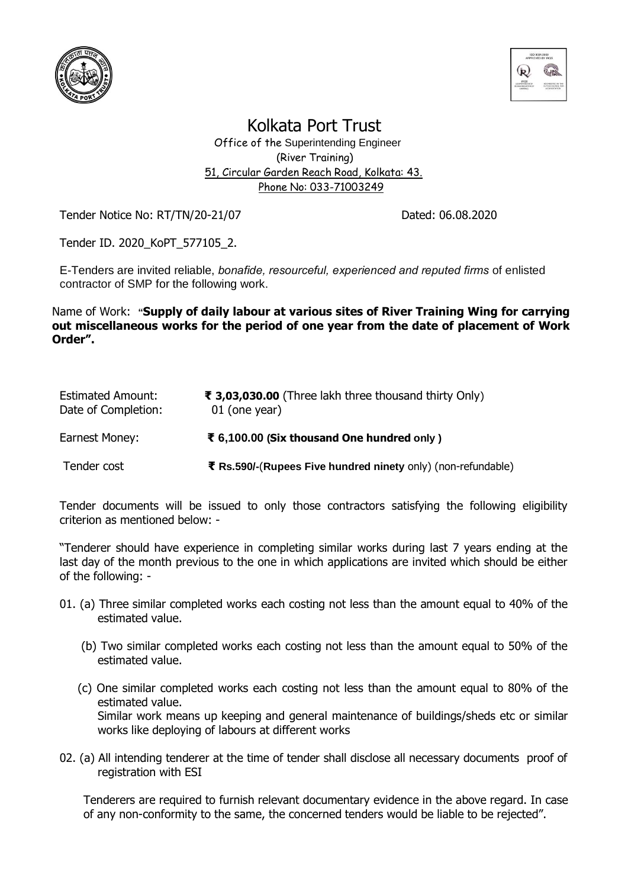



Kolkata Port Trust

 Office of the Superintending Engineer (River Training) 51, Circular Garden Reach Road, Kolkata: 43. Phone No: 033-71003249

Tender Notice No: RT/TN/20-21/07 Dated: 06.08.2020

Tender ID. 2020\_KoPT\_577105\_2.

E-Tenders are invited reliable, *bonafide, resourceful, experienced and reputed firms* of enlisted contractor of SMP for the following work.

Name of Work: **"Supply of daily labour at various sites of River Training Wing for carrying out miscellaneous works for the period of one year from the date of placement of Work Order".**

| <b>Estimated Amount:</b><br>Date of Completion: | ₹ 3,03,030.00 (Three lakh three thousand thirty Only)<br>01 (one year) |
|-------------------------------------------------|------------------------------------------------------------------------|
| Earnest Money:                                  | ₹ 6,100.00 (Six thousand One hundred only)                             |
| Tender cost                                     | ₹ Rs.590/-(Rupees Five hundred ninety only) (non-refundable)           |

Tender documents will be issued to only those contractors satisfying the following eligibility criterion as mentioned below: -

"Tenderer should have experience in completing similar works during last 7 years ending at the last day of the month previous to the one in which applications are invited which should be either of the following: -

- 01. (a) Three similar completed works each costing not less than the amount equal to 40% of the estimated value.
	- (b) Two similar completed works each costing not less than the amount equal to 50% of the estimated value.
	- (c) One similar completed works each costing not less than the amount equal to 80% of the estimated value. Similar work means up keeping and general maintenance of buildings/sheds etc or similar works like deploying of labours at different works
- 02. (a) All intending tenderer at the time of tender shall disclose all necessary documents proof of registration with ESI

Tenderers are required to furnish relevant documentary evidence in the above regard. In case of any non-conformity to the same, the concerned tenders would be liable to be rejected".